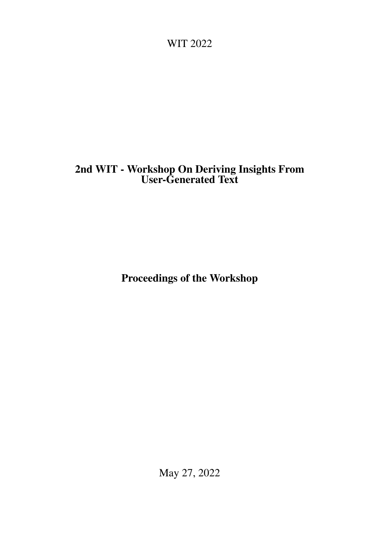<span id="page-0-0"></span>WIT 2022

# 2nd WIT - Workshop On Deriving Insights From User-Generated Text

Proceedings of the Workshop

May 27, 2022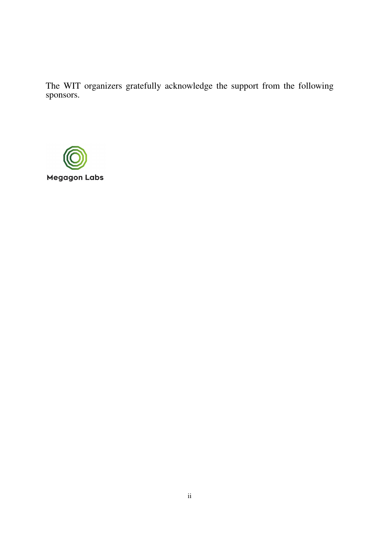The WIT organizers gratefully acknowledge the support from the following sponsors.

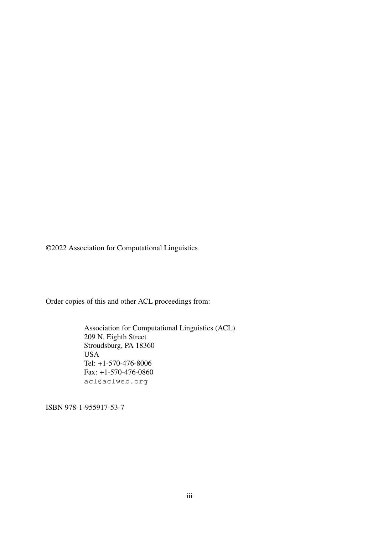©2022 Association for Computational Linguistics

Order copies of this and other ACL proceedings from:

Association for Computational Linguistics (ACL) 209 N. Eighth Street Stroudsburg, PA 18360 USA Tel: +1-570-476-8006 Fax: +1-570-476-0860 acl@aclweb.org

ISBN 978-1-955917-53-7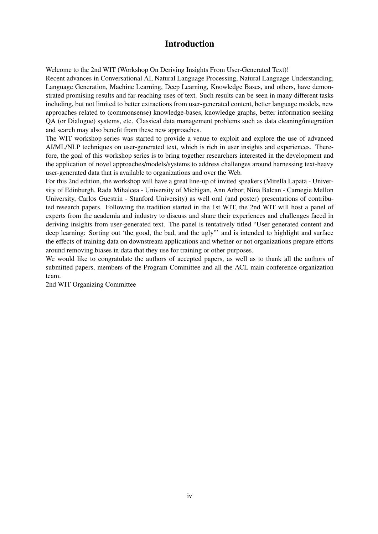## Introduction

Welcome to the 2nd WIT (Workshop On Deriving Insights From User-Generated Text)!

Recent advances in Conversational AI, Natural Language Processing, Natural Language Understanding, Language Generation, Machine Learning, Deep Learning, Knowledge Bases, and others, have demonstrated promising results and far-reaching uses of text. Such results can be seen in many different tasks including, but not limited to better extractions from user-generated content, better language models, new approaches related to (commonsense) knowledge-bases, knowledge graphs, better information seeking QA (or Dialogue) systems, etc. Classical data management problems such as data cleaning/integration and search may also benefit from these new approaches.

The WIT workshop series was started to provide a venue to exploit and explore the use of advanced AI/ML/NLP techniques on user-generated text, which is rich in user insights and experiences. Therefore, the goal of this workshop series is to bring together researchers interested in the development and the application of novel approaches/models/systems to address challenges around harnessing text-heavy user-generated data that is available to organizations and over the Web.

For this 2nd edition, the workshop will have a great line-up of invited speakers (Mirella Lapata - University of Edinburgh, Rada Mihalcea - University of Michigan, Ann Arbor, Nina Balcan - Carnegie Mellon University, Carlos Guestrin - Stanford University) as well oral (and poster) presentations of contributed research papers. Following the tradition started in the 1st WIT, the 2nd WIT will host a panel of experts from the academia and industry to discuss and share their experiences and challenges faced in deriving insights from user-generated text. The panel is tentatively titled "User generated content and deep learning: Sorting out 'the good, the bad, and the ugly"' and is intended to highlight and surface the effects of training data on downstream applications and whether or not organizations prepare efforts around removing biases in data that they use for training or other purposes.

We would like to congratulate the authors of accepted papers, as well as to thank all the authors of submitted papers, members of the Program Committee and all the ACL main conference organization team.

2nd WIT Organizing Committee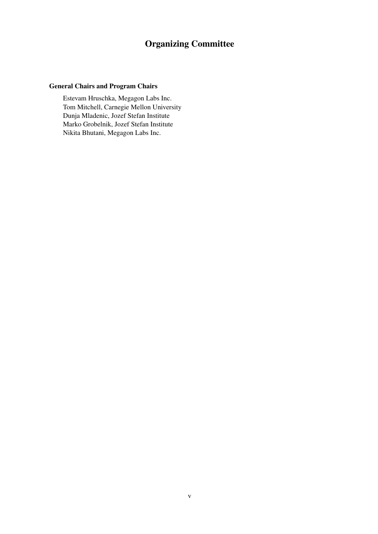# Organizing Committee

### General Chairs and Program Chairs

Estevam Hruschka, Megagon Labs Inc. Tom Mitchell, Carnegie Mellon University Dunja Mladenic, Jozef Stefan Institute Marko Grobelnik, Jozef Stefan Institute Nikita Bhutani, Megagon Labs Inc.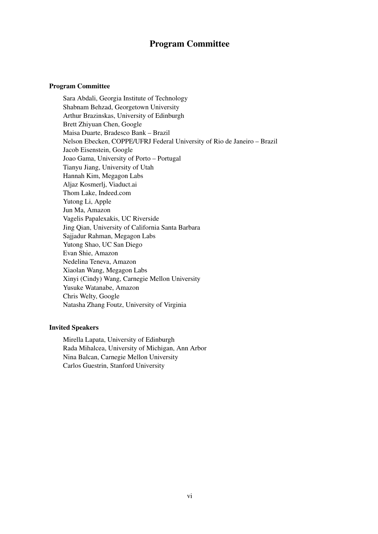### Program Committee

#### Program Committee

Sara Abdali, Georgia Institute of Technology Shabnam Behzad, Georgetown University Arthur Brazinskas, University of Edinburgh Brett Zhiyuan Chen, Google Maisa Duarte, Bradesco Bank – Brazil Nelson Ebecken, COPPE/UFRJ Federal University of Rio de Janeiro – Brazil Jacob Eisenstein, Google Joao Gama, University of Porto – Portugal Tianyu Jiang, University of Utah Hannah Kim, Megagon Labs Aljaz Kosmerlj, Viaduct.ai Thom Lake, Indeed.com Yutong Li, Apple Jun Ma, Amazon Vagelis Papalexakis, UC Riverside Jing Qian, University of California Santa Barbara Sajjadur Rahman, Megagon Labs Yutong Shao, UC San Diego Evan Shie, Amazon Nedelina Teneva, Amazon Xiaolan Wang, Megagon Labs Xinyi (Cindy) Wang, Carnegie Mellon University Yusuke Watanabe, Amazon Chris Welty, Google Natasha Zhang Foutz, University of Virginia

#### Invited Speakers

Mirella Lapata, University of Edinburgh Rada Mihalcea, University of Michigan, Ann Arbor Nina Balcan, Carnegie Mellon University Carlos Guestrin, Stanford University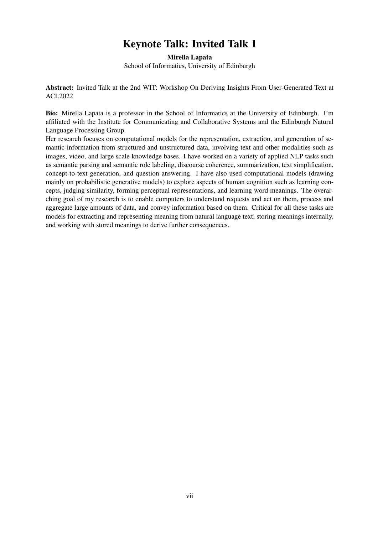# Keynote Talk: Invited Talk 1

Mirella Lapata School of Informatics, University of Edinburgh

Abstract: Invited Talk at the 2nd WIT: Workshop On Deriving Insights From User-Generated Text at ACL2022

Bio: Mirella Lapata is a professor in the School of Informatics at the University of Edinburgh. I'm affiliated with the Institute for Communicating and Collaborative Systems and the Edinburgh Natural Language Processing Group.

Her research focuses on computational models for the representation, extraction, and generation of semantic information from structured and unstructured data, involving text and other modalities such as images, video, and large scale knowledge bases. I have worked on a variety of applied NLP tasks such as semantic parsing and semantic role labeling, discourse coherence, summarization, text simplification, concept-to-text generation, and question answering. I have also used computational models (drawing mainly on probabilistic generative models) to explore aspects of human cognition such as learning concepts, judging similarity, forming perceptual representations, and learning word meanings. The overarching goal of my research is to enable computers to understand requests and act on them, process and aggregate large amounts of data, and convey information based on them. Critical for all these tasks are models for extracting and representing meaning from natural language text, storing meanings internally, and working with stored meanings to derive further consequences.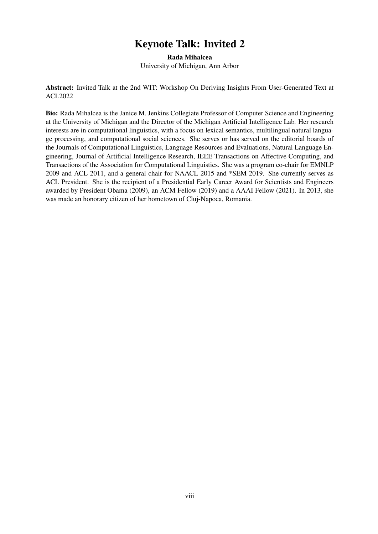# Keynote Talk: Invited 2

Rada Mihalcea University of Michigan, Ann Arbor

Abstract: Invited Talk at the 2nd WIT: Workshop On Deriving Insights From User-Generated Text at ACL2022

Bio: Rada Mihalcea is the Janice M. Jenkins Collegiate Professor of Computer Science and Engineering at the University of Michigan and the Director of the Michigan Artificial Intelligence Lab. Her research interests are in computational linguistics, with a focus on lexical semantics, multilingual natural language processing, and computational social sciences. She serves or has served on the editorial boards of the Journals of Computational Linguistics, Language Resources and Evaluations, Natural Language Engineering, Journal of Artificial Intelligence Research, IEEE Transactions on Affective Computing, and Transactions of the Association for Computational Linguistics. She was a program co-chair for EMNLP 2009 and ACL 2011, and a general chair for NAACL 2015 and \*SEM 2019. She currently serves as ACL President. She is the recipient of a Presidential Early Career Award for Scientists and Engineers awarded by President Obama (2009), an ACM Fellow (2019) and a AAAI Fellow (2021). In 2013, she was made an honorary citizen of her hometown of Cluj-Napoca, Romania.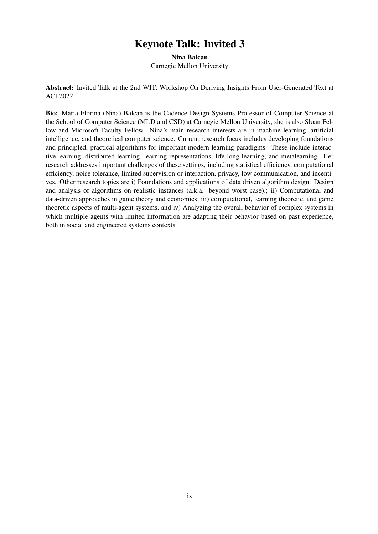# Keynote Talk: Invited 3

Nina Balcan Carnegie Mellon University

Abstract: Invited Talk at the 2nd WIT: Workshop On Deriving Insights From User-Generated Text at ACL2022

Bio: Maria-Florina (Nina) Balcan is the Cadence Design Systems Professor of Computer Science at the School of Computer Science (MLD and CSD) at Carnegie Mellon University, she is also Sloan Fellow and Microsoft Faculty Fellow. Nina's main research interests are in machine learning, artificial intelligence, and theoretical computer science. Current research focus includes developing foundations and principled, practical algorithms for important modern learning paradigms. These include interactive learning, distributed learning, learning representations, life-long learning, and metalearning. Her research addresses important challenges of these settings, including statistical efficiency, computational efficiency, noise tolerance, limited supervision or interaction, privacy, low communication, and incentives. Other research topics are i) Foundations and applications of data driven algorithm design. Design and analysis of algorithms on realistic instances (a.k.a. beyond worst case).; ii) Computational and data-driven approaches in game theory and economics; iii) computational, learning theoretic, and game theoretic aspects of multi-agent systems, and iv) Analyzing the overall behavior of complex systems in which multiple agents with limited information are adapting their behavior based on past experience, both in social and engineered systems contexts.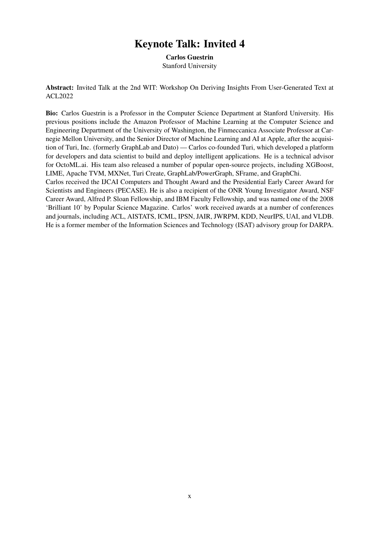## Keynote Talk: Invited 4

Carlos Guestrin Stanford University

Abstract: Invited Talk at the 2nd WIT: Workshop On Deriving Insights From User-Generated Text at ACL2022

Bio: Carlos Guestrin is a Professor in the Computer Science Department at Stanford University. His previous positions include the Amazon Professor of Machine Learning at the Computer Science and Engineering Department of the University of Washington, the Finmeccanica Associate Professor at Carnegie Mellon University, and the Senior Director of Machine Learning and AI at Apple, after the acquisition of Turi, Inc. (formerly GraphLab and Dato) — Carlos co-founded Turi, which developed a platform for developers and data scientist to build and deploy intelligent applications. He is a technical advisor for OctoML.ai. His team also released a number of popular open-source projects, including XGBoost, LIME, Apache TVM, MXNet, Turi Create, GraphLab/PowerGraph, SFrame, and GraphChi.

Carlos received the IJCAI Computers and Thought Award and the Presidential Early Career Award for Scientists and Engineers (PECASE). He is also a recipient of the ONR Young Investigator Award, NSF Career Award, Alfred P. Sloan Fellowship, and IBM Faculty Fellowship, and was named one of the 2008 'Brilliant 10' by Popular Science Magazine. Carlos' work received awards at a number of conferences and journals, including ACL, AISTATS, ICML, IPSN, JAIR, JWRPM, KDD, NeurIPS, UAI, and VLDB. He is a former member of the Information Sciences and Technology (ISAT) advisory group for DARPA.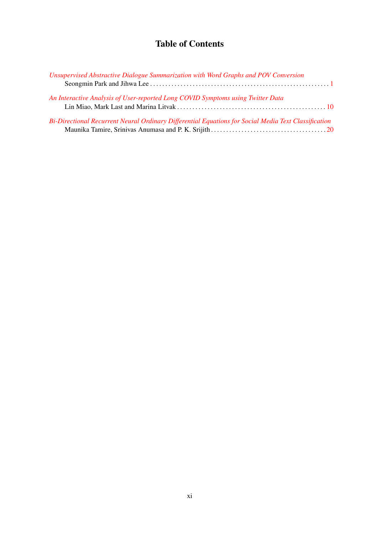## Table of Contents

| Unsupervised Abstractive Dialogue Summarization with Word Graphs and POV Conversion                  |  |  |
|------------------------------------------------------------------------------------------------------|--|--|
|                                                                                                      |  |  |
| An Interactive Analysis of User-reported Long COVID Symptoms using Twitter Data                      |  |  |
| Bi-Directional Recurrent Neural Ordinary Differential Equations for Social Media Text Classification |  |  |